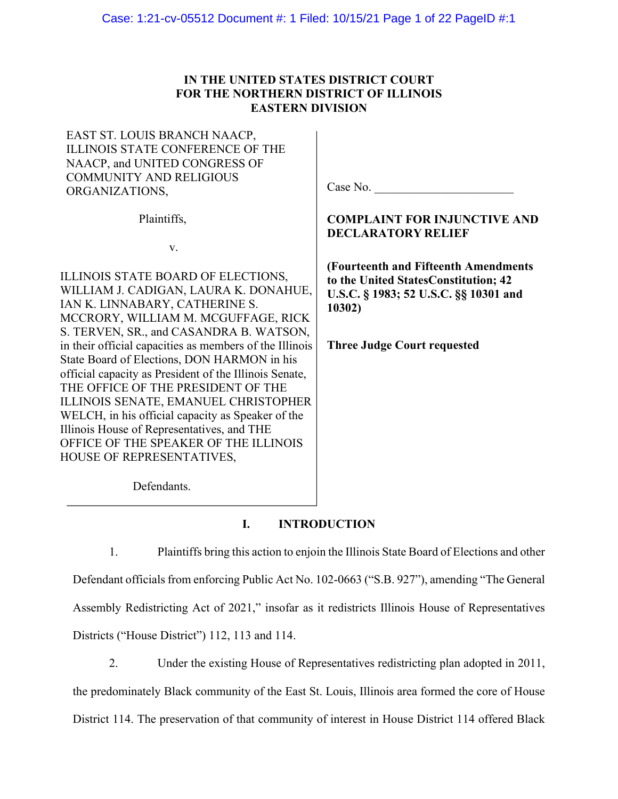# **IN THE UNITED STATES DISTRICT COURT FOR THE NORTHERN DISTRICT OF ILLINOIS EASTERN DIVISION**

EAST ST. LOUIS BRANCH NAACP, ILLINOIS STATE CONFERENCE OF THE NAACP, and UNITED CONGRESS OF COMMUNITY AND RELIGIOUS ORGANIZATIONS,

Plaintiffs,

v.

ILLINOIS STATE BOARD OF ELECTIONS, WILLIAM J. CADIGAN, LAURA K. DONAHUE, IAN K. LINNABARY, CATHERINE S. MCCRORY, WILLIAM M. MCGUFFAGE, RICK S. TERVEN, SR., and CASANDRA B. WATSON, in their official capacities as members of the Illinois State Board of Elections, DON HARMON in his official capacity as President of the Illinois Senate, THE OFFICE OF THE PRESIDENT OF THE ILLINOIS SENATE, EMANUEL CHRISTOPHER WELCH, in his official capacity as Speaker of the Illinois House of Representatives, and THE OFFICE OF THE SPEAKER OF THE ILLINOIS HOUSE OF REPRESENTATIVES,

Case No.

# **COMPLAINT FOR INJUNCTIVE AND DECLARATORY RELIEF**

**(Fourteenth and Fifteenth Amendments to the United StatesConstitution; 42 U.S.C. § 1983; 52 U.S.C. §§ 10301 and 10302)**

**Three Judge Court requested**

Defendants.

# **I. INTRODUCTION**

1. Plaintiffs bring this action to enjoin the Illinois State Board of Elections and other Defendant officials from enforcing Public Act No. 102-0663 ("S.B. 927"), amending "The General Assembly Redistricting Act of 2021," insofar as it redistricts Illinois House of Representatives Districts ("House District") 112, 113 and 114.

2. Under the existing House of Representatives redistricting plan adopted in 2011, the predominately Black community of the East St. Louis, Illinois area formed the core of House District 114. The preservation of that community of interest in House District 114 offered Black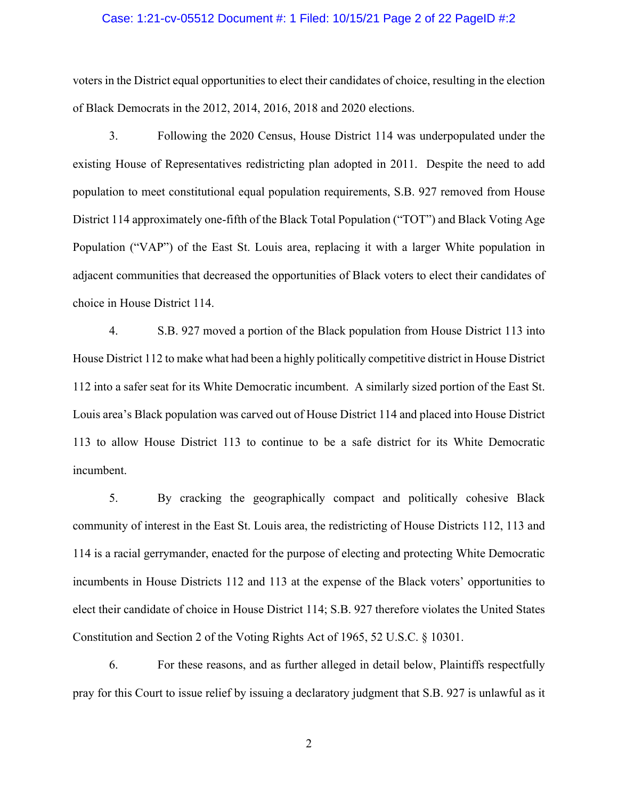### Case: 1:21-cv-05512 Document #: 1 Filed: 10/15/21 Page 2 of 22 PageID #:2

voters in the District equal opportunities to elect their candidates of choice, resulting in the election of Black Democrats in the 2012, 2014, 2016, 2018 and 2020 elections.

3. Following the 2020 Census, House District 114 was underpopulated under the existing House of Representatives redistricting plan adopted in 2011. Despite the need to add population to meet constitutional equal population requirements, S.B. 927 removed from House District 114 approximately one-fifth of the Black Total Population ("TOT") and Black Voting Age Population ("VAP") of the East St. Louis area, replacing it with a larger White population in adjacent communities that decreased the opportunities of Black voters to elect their candidates of choice in House District 114.

4. S.B. 927 moved a portion of the Black population from House District 113 into House District 112 to make what had been a highly politically competitive district in House District 112 into a safer seat for its White Democratic incumbent. A similarly sized portion of the East St. Louis area's Black population was carved out of House District 114 and placed into House District 113 to allow House District 113 to continue to be a safe district for its White Democratic incumbent.

5. By cracking the geographically compact and politically cohesive Black community of interest in the East St. Louis area, the redistricting of House Districts 112, 113 and 114 is a racial gerrymander, enacted for the purpose of electing and protecting White Democratic incumbents in House Districts 112 and 113 at the expense of the Black voters' opportunities to elect their candidate of choice in House District 114; S.B. 927 therefore violates the United States Constitution and Section 2 of the Voting Rights Act of 1965, 52 U.S.C. § 10301.

6. For these reasons, and as further alleged in detail below, Plaintiffs respectfully pray for this Court to issue relief by issuing a declaratory judgment that S.B. 927 is unlawful as it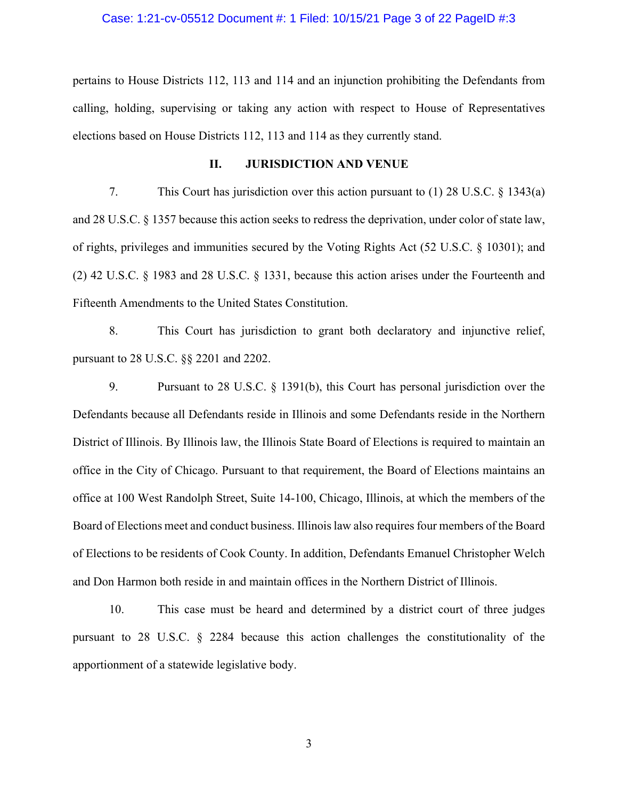### Case: 1:21-cv-05512 Document #: 1 Filed: 10/15/21 Page 3 of 22 PageID #:3

pertains to House Districts 112, 113 and 114 and an injunction prohibiting the Defendants from calling, holding, supervising or taking any action with respect to House of Representatives elections based on House Districts 112, 113 and 114 as they currently stand.

#### **II. JURISDICTION AND VENUE**

7. This Court has jurisdiction over this action pursuant to (1) 28 U.S.C. § 1343(a) and 28 U.S.C. § 1357 because this action seeks to redress the deprivation, under color of state law, of rights, privileges and immunities secured by the Voting Rights Act (52 U.S.C. § 10301); and (2) 42 U.S.C. § 1983 and 28 U.S.C. § 1331, because this action arises under the Fourteenth and Fifteenth Amendments to the United States Constitution.

8. This Court has jurisdiction to grant both declaratory and injunctive relief, pursuant to 28 U.S.C. §§ 2201 and 2202.

9. Pursuant to 28 U.S.C. § 1391(b), this Court has personal jurisdiction over the Defendants because all Defendants reside in Illinois and some Defendants reside in the Northern District of Illinois. By Illinois law, the Illinois State Board of Elections is required to maintain an office in the City of Chicago. Pursuant to that requirement, the Board of Elections maintains an office at 100 West Randolph Street, Suite 14-100, Chicago, Illinois, at which the members of the Board of Elections meet and conduct business. Illinois law also requires four members of the Board of Elections to be residents of Cook County. In addition, Defendants Emanuel Christopher Welch and Don Harmon both reside in and maintain offices in the Northern District of Illinois.

10. This case must be heard and determined by a district court of three judges pursuant to 28 U.S.C. § 2284 because this action challenges the constitutionality of the apportionment of a statewide legislative body.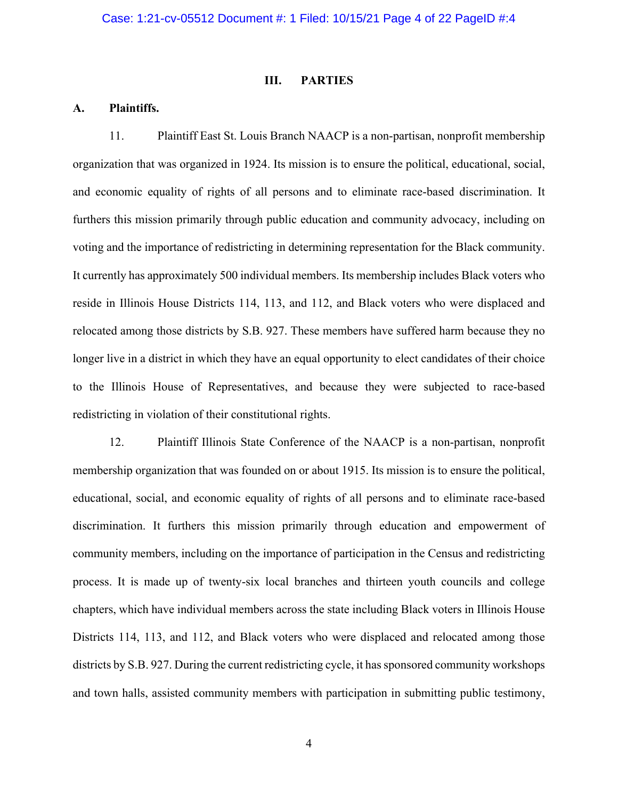### **III. PARTIES**

## **A. Plaintiffs.**

11. Plaintiff East St. Louis Branch NAACP is a non-partisan, nonprofit membership organization that was organized in 1924. Its mission is to ensure the political, educational, social, and economic equality of rights of all persons and to eliminate race-based discrimination. It furthers this mission primarily through public education and community advocacy, including on voting and the importance of redistricting in determining representation for the Black community. It currently has approximately 500 individual members. Its membership includes Black voters who reside in Illinois House Districts 114, 113, and 112, and Black voters who were displaced and relocated among those districts by S.B. 927. These members have suffered harm because they no longer live in a district in which they have an equal opportunity to elect candidates of their choice to the Illinois House of Representatives, and because they were subjected to race-based redistricting in violation of their constitutional rights.

12. Plaintiff Illinois State Conference of the NAACP is a non-partisan, nonprofit membership organization that was founded on or about 1915. Its mission is to ensure the political, educational, social, and economic equality of rights of all persons and to eliminate race-based discrimination. It furthers this mission primarily through education and empowerment of community members, including on the importance of participation in the Census and redistricting process. It is made up of twenty-six local branches and thirteen youth councils and college chapters, which have individual members across the state including Black voters in Illinois House Districts 114, 113, and 112, and Black voters who were displaced and relocated among those districts by S.B. 927. During the current redistricting cycle, it has sponsored community workshops and town halls, assisted community members with participation in submitting public testimony,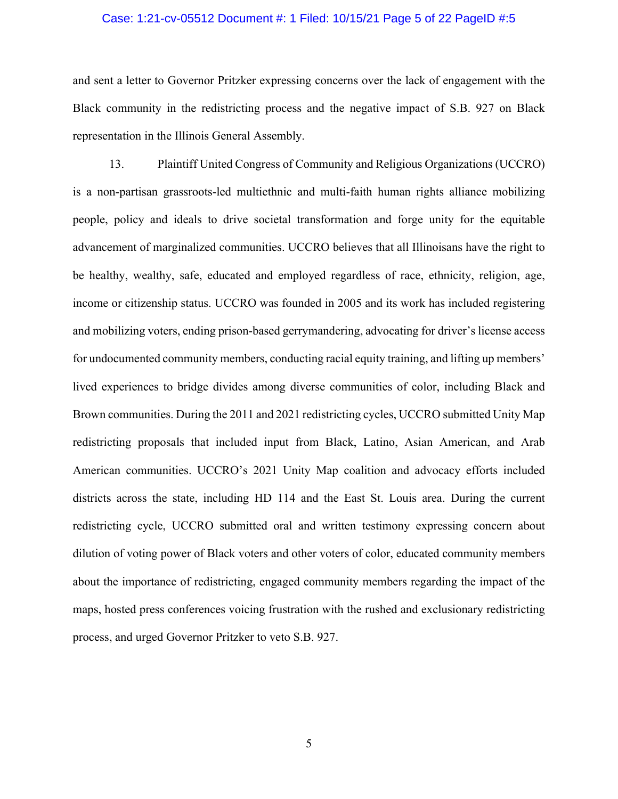### Case: 1:21-cv-05512 Document #: 1 Filed: 10/15/21 Page 5 of 22 PageID #:5

and sent a letter to Governor Pritzker expressing concerns over the lack of engagement with the Black community in the redistricting process and the negative impact of S.B. 927 on Black representation in the Illinois General Assembly.

13. Plaintiff United Congress of Community and Religious Organizations (UCCRO) is a non-partisan grassroots-led multiethnic and multi-faith human rights alliance mobilizing people, policy and ideals to drive societal transformation and forge unity for the equitable advancement of marginalized communities. UCCRO believes that all Illinoisans have the right to be healthy, wealthy, safe, educated and employed regardless of race, ethnicity, religion, age, income or citizenship status. UCCRO was founded in 2005 and its work has included registering and mobilizing voters, ending prison-based gerrymandering, advocating for driver's license access for undocumented community members, conducting racial equity training, and lifting up members' lived experiences to bridge divides among diverse communities of color, including Black and Brown communities. During the 2011 and 2021 redistricting cycles, UCCRO submitted Unity Map redistricting proposals that included input from Black, Latino, Asian American, and Arab American communities. UCCRO's 2021 Unity Map coalition and advocacy efforts included districts across the state, including HD 114 and the East St. Louis area. During the current redistricting cycle, UCCRO submitted oral and written testimony expressing concern about dilution of voting power of Black voters and other voters of color, educated community members about the importance of redistricting, engaged community members regarding the impact of the maps, hosted press conferences voicing frustration with the rushed and exclusionary redistricting process, and urged Governor Pritzker to veto S.B. 927.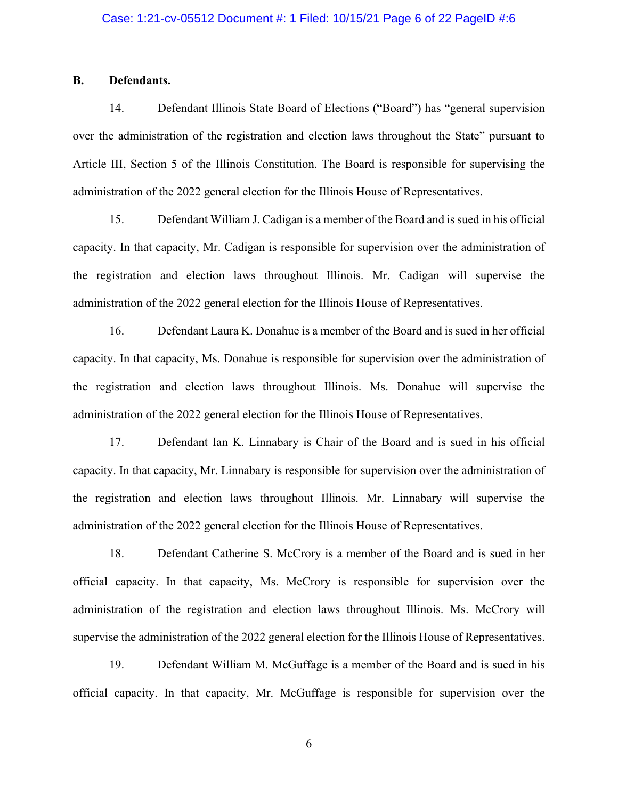### Case: 1:21-cv-05512 Document #: 1 Filed: 10/15/21 Page 6 of 22 PageID #:6

### **B. Defendants.**

14. Defendant Illinois State Board of Elections ("Board") has "general supervision over the administration of the registration and election laws throughout the State" pursuant to Article III, Section 5 of the Illinois Constitution. The Board is responsible for supervising the administration of the 2022 general election for the Illinois House of Representatives.

15. Defendant William J. Cadigan is a member of the Board and is sued in his official capacity. In that capacity, Mr. Cadigan is responsible for supervision over the administration of the registration and election laws throughout Illinois. Mr. Cadigan will supervise the administration of the 2022 general election for the Illinois House of Representatives.

16. Defendant Laura K. Donahue is a member of the Board and is sued in her official capacity. In that capacity, Ms. Donahue is responsible for supervision over the administration of the registration and election laws throughout Illinois. Ms. Donahue will supervise the administration of the 2022 general election for the Illinois House of Representatives.

17. Defendant Ian K. Linnabary is Chair of the Board and is sued in his official capacity. In that capacity, Mr. Linnabary is responsible for supervision over the administration of the registration and election laws throughout Illinois. Mr. Linnabary will supervise the administration of the 2022 general election for the Illinois House of Representatives.

18. Defendant Catherine S. McCrory is a member of the Board and is sued in her official capacity. In that capacity, Ms. McCrory is responsible for supervision over the administration of the registration and election laws throughout Illinois. Ms. McCrory will supervise the administration of the 2022 general election for the Illinois House of Representatives.

19. Defendant William M. McGuffage is a member of the Board and is sued in his official capacity. In that capacity, Mr. McGuffage is responsible for supervision over the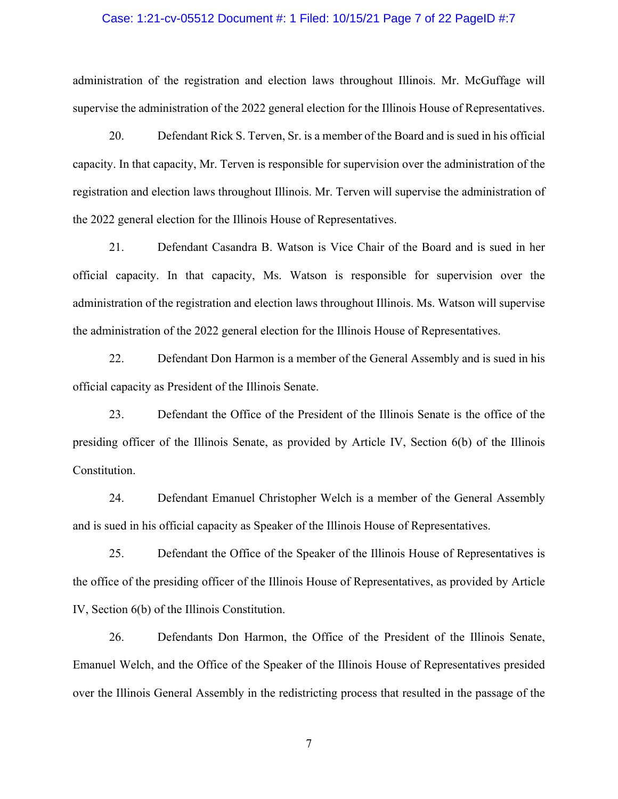### Case: 1:21-cv-05512 Document #: 1 Filed: 10/15/21 Page 7 of 22 PageID #:7

administration of the registration and election laws throughout Illinois. Mr. McGuffage will supervise the administration of the 2022 general election for the Illinois House of Representatives.

20. Defendant Rick S. Terven, Sr. is a member of the Board and is sued in his official capacity. In that capacity, Mr. Terven is responsible for supervision over the administration of the registration and election laws throughout Illinois. Mr. Terven will supervise the administration of the 2022 general election for the Illinois House of Representatives.

21. Defendant Casandra B. Watson is Vice Chair of the Board and is sued in her official capacity. In that capacity, Ms. Watson is responsible for supervision over the administration of the registration and election laws throughout Illinois. Ms. Watson will supervise the administration of the 2022 general election for the Illinois House of Representatives.

22. Defendant Don Harmon is a member of the General Assembly and is sued in his official capacity as President of the Illinois Senate.

23. Defendant the Office of the President of the Illinois Senate is the office of the presiding officer of the Illinois Senate, as provided by Article IV, Section 6(b) of the Illinois Constitution.

24. Defendant Emanuel Christopher Welch is a member of the General Assembly and is sued in his official capacity as Speaker of the Illinois House of Representatives.

25. Defendant the Office of the Speaker of the Illinois House of Representatives is the office of the presiding officer of the Illinois House of Representatives, as provided by Article IV, Section 6(b) of the Illinois Constitution.

26. Defendants Don Harmon, the Office of the President of the Illinois Senate, Emanuel Welch, and the Office of the Speaker of the Illinois House of Representatives presided over the Illinois General Assembly in the redistricting process that resulted in the passage of the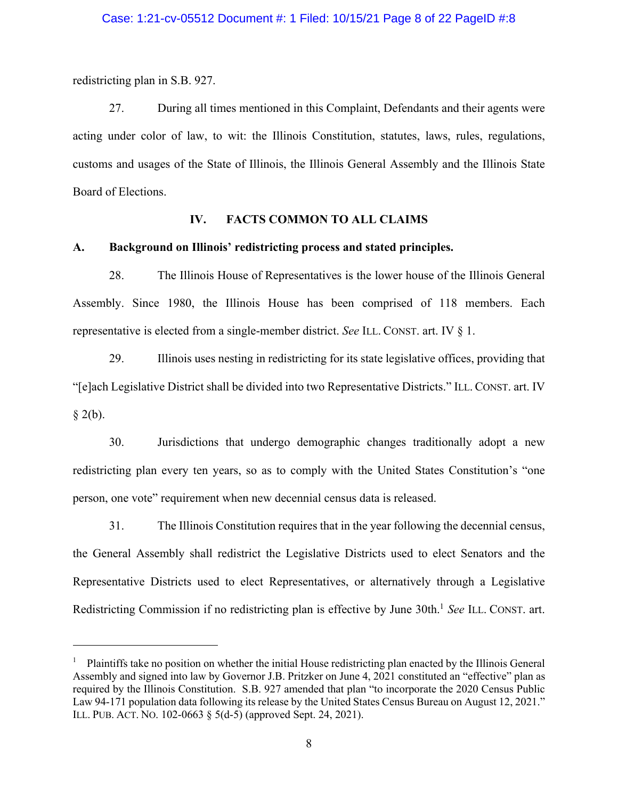redistricting plan in S.B. 927.

27. During all times mentioned in this Complaint, Defendants and their agents were acting under color of law, to wit: the Illinois Constitution, statutes, laws, rules, regulations, customs and usages of the State of Illinois, the Illinois General Assembly and the Illinois State Board of Elections.

### **IV. FACTS COMMON TO ALL CLAIMS**

### **A. Background on Illinois' redistricting process and stated principles.**

28. The Illinois House of Representatives is the lower house of the Illinois General Assembly. Since 1980, the Illinois House has been comprised of 118 members. Each representative is elected from a single-member district. *See* ILL. CONST. art. IV § 1.

29. Illinois uses nesting in redistricting for its state legislative offices, providing that "[e]ach Legislative District shall be divided into two Representative Districts." ILL. CONST. art. IV  $§$  2(b).

30. Jurisdictions that undergo demographic changes traditionally adopt a new redistricting plan every ten years, so as to comply with the United States Constitution's "one person, one vote" requirement when new decennial census data is released.

31. The Illinois Constitution requires that in the year following the decennial census, the General Assembly shall redistrict the Legislative Districts used to elect Senators and the Representative Districts used to elect Representatives, or alternatively through a Legislative Redistricting Commission if no redistricting plan is effective by June 30th.1 *See* ILL. CONST. art.

<sup>&</sup>lt;sup>1</sup> Plaintiffs take no position on whether the initial House redistricting plan enacted by the Illinois General Assembly and signed into law by Governor J.B. Pritzker on June 4, 2021 constituted an "effective" plan as required by the Illinois Constitution. S.B. 927 amended that plan "to incorporate the 2020 Census Public Law 94-171 population data following its release by the United States Census Bureau on August 12, 2021." ILL. PUB. ACT. NO. 102-0663 § 5(d-5) (approved Sept. 24, 2021).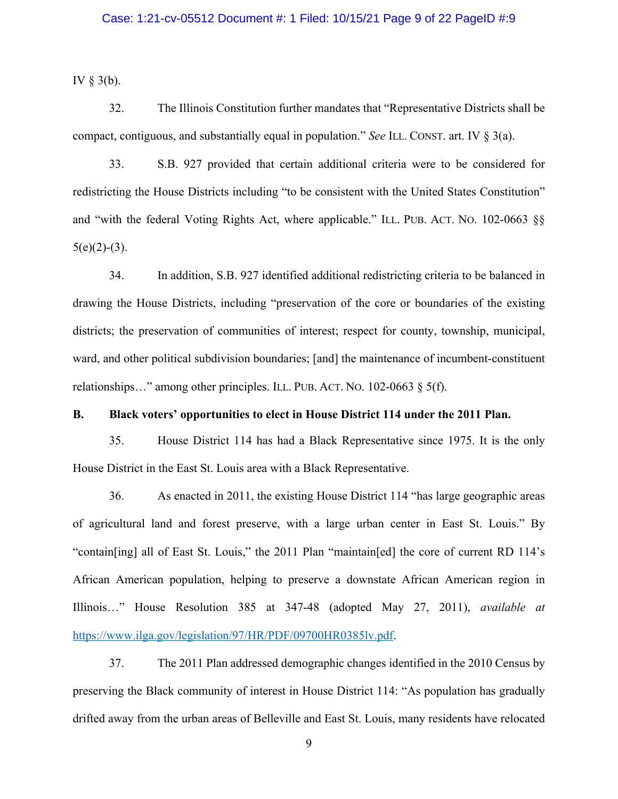### Case: 1:21-cv-05512 Document #: 1 Filed: 10/15/21 Page 9 of 22 PageID #:9

IV  $\S$  3(b).

32. The Illinois Constitution further mandates that "Representative Districts shall be compact, contiguous, and substantially equal in population." *See* ILL. CONST. art. IV § 3(a).

33. S.B. 927 provided that certain additional criteria were to be considered for redistricting the House Districts including "to be consistent with the United States Constitution" and "with the federal Voting Rights Act, where applicable." ILL. PUB. ACT. NO. 102-0663 §§  $5(e)(2)-(3)$ .

34. In addition, S.B. 927 identified additional redistricting criteria to be balanced in drawing the House Districts, including "preservation of the core or boundaries of the existing districts; the preservation of communities of interest; respect for county, township, municipal, ward, and other political subdivision boundaries; [and] the maintenance of incumbent-constituent relationships..." among other principles. ILL. PUB. ACT. No. 102-0663 § 5(f).

# **B. Black voters' opportunities to elect in House District 114 under the 2011 Plan.**

35. House District 114 has had a Black Representative since 1975. It is the only House District in the East St. Louis area with a Black Representative.

36. As enacted in 2011, the existing House District 114 "has large geographic areas of agricultural land and forest preserve, with a large urban center in East St. Louis." By "contain[ing] all of East St. Louis," the 2011 Plan "maintain[ed] the core of current RD 114's African American population, helping to preserve a downstate African American region in Illinois…" House Resolution 385 at 347-48 (adopted May 27, 2011), *available at* https://www.ilga.gov/legislation/97/HR/PDF/09700HR0385lv.pdf.

37. The 2011 Plan addressed demographic changes identified in the 2010 Census by preserving the Black community of interest in House District 114: "As population has gradually drifted away from the urban areas of Belleville and East St. Louis, many residents have relocated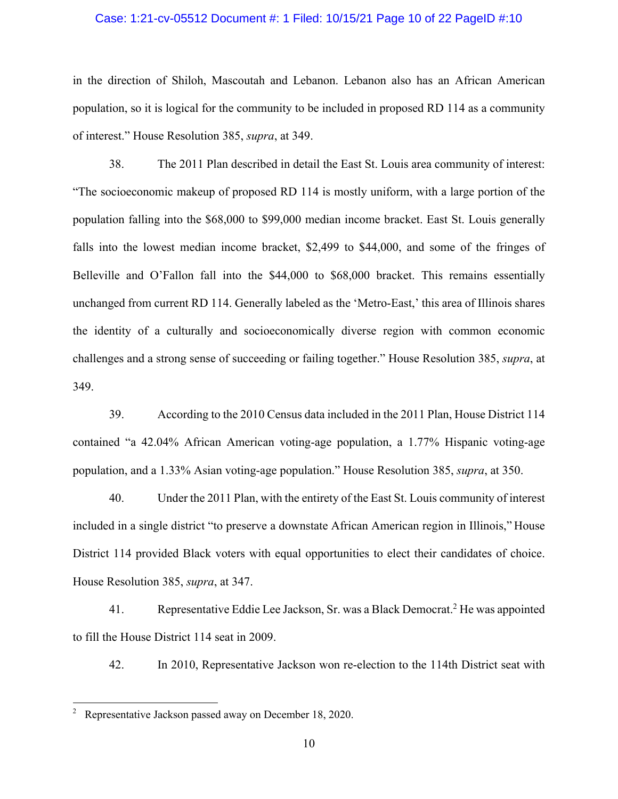### Case: 1:21-cv-05512 Document #: 1 Filed: 10/15/21 Page 10 of 22 PageID #:10

in the direction of Shiloh, Mascoutah and Lebanon. Lebanon also has an African American population, so it is logical for the community to be included in proposed RD 114 as a community of interest." House Resolution 385, *supra*, at 349.

38. The 2011 Plan described in detail the East St. Louis area community of interest: "The socioeconomic makeup of proposed RD 114 is mostly uniform, with a large portion of the population falling into the \$68,000 to \$99,000 median income bracket. East St. Louis generally falls into the lowest median income bracket, \$2,499 to \$44,000, and some of the fringes of Belleville and O'Fallon fall into the \$44,000 to \$68,000 bracket. This remains essentially unchanged from current RD 114. Generally labeled as the 'Metro-East,' this area of Illinois shares the identity of a culturally and socioeconomically diverse region with common economic challenges and a strong sense of succeeding or failing together." House Resolution 385, *supra*, at 349.

39. According to the 2010 Census data included in the 2011 Plan, House District 114 contained "a 42.04% African American voting-age population, a 1.77% Hispanic voting-age population, and a 1.33% Asian voting-age population." House Resolution 385, *supra*, at 350.

40. Under the 2011 Plan, with the entirety of the East St. Louis community of interest included in a single district "to preserve a downstate African American region in Illinois," House District 114 provided Black voters with equal opportunities to elect their candidates of choice. House Resolution 385, *supra*, at 347.

41. Representative Eddie Lee Jackson, Sr. was a Black Democrat.2 He was appointed to fill the House District 114 seat in 2009.

42. In 2010, Representative Jackson won re-election to the 114th District seat with

<sup>2</sup> Representative Jackson passed away on December 18, 2020.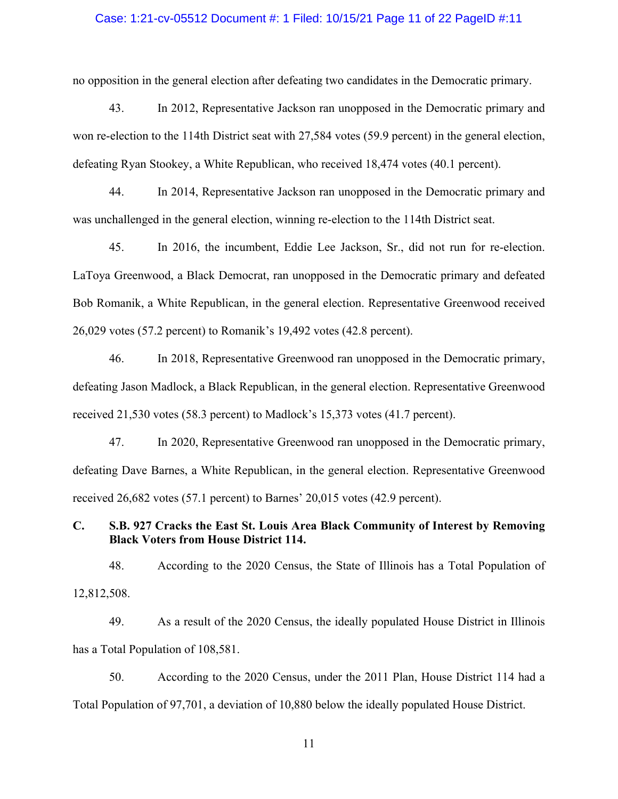### Case: 1:21-cv-05512 Document #: 1 Filed: 10/15/21 Page 11 of 22 PageID #:11

no opposition in the general election after defeating two candidates in the Democratic primary.

43. In 2012, Representative Jackson ran unopposed in the Democratic primary and won re-election to the 114th District seat with 27,584 votes (59.9 percent) in the general election, defeating Ryan Stookey, a White Republican, who received 18,474 votes (40.1 percent).

44. In 2014, Representative Jackson ran unopposed in the Democratic primary and was unchallenged in the general election, winning re-election to the 114th District seat.

45. In 2016, the incumbent, Eddie Lee Jackson, Sr., did not run for re-election. LaToya Greenwood, a Black Democrat, ran unopposed in the Democratic primary and defeated Bob Romanik, a White Republican, in the general election. Representative Greenwood received 26,029 votes (57.2 percent) to Romanik's 19,492 votes (42.8 percent).

46. In 2018, Representative Greenwood ran unopposed in the Democratic primary, defeating Jason Madlock, a Black Republican, in the general election. Representative Greenwood received 21,530 votes (58.3 percent) to Madlock's 15,373 votes (41.7 percent).

47. In 2020, Representative Greenwood ran unopposed in the Democratic primary, defeating Dave Barnes, a White Republican, in the general election. Representative Greenwood received 26,682 votes (57.1 percent) to Barnes' 20,015 votes (42.9 percent).

# **C. S.B. 927 Cracks the East St. Louis Area Black Community of Interest by Removing Black Voters from House District 114.**

48. According to the 2020 Census, the State of Illinois has a Total Population of 12,812,508.

49. As a result of the 2020 Census, the ideally populated House District in Illinois has a Total Population of 108,581.

50. According to the 2020 Census, under the 2011 Plan, House District 114 had a Total Population of 97,701, a deviation of 10,880 below the ideally populated House District.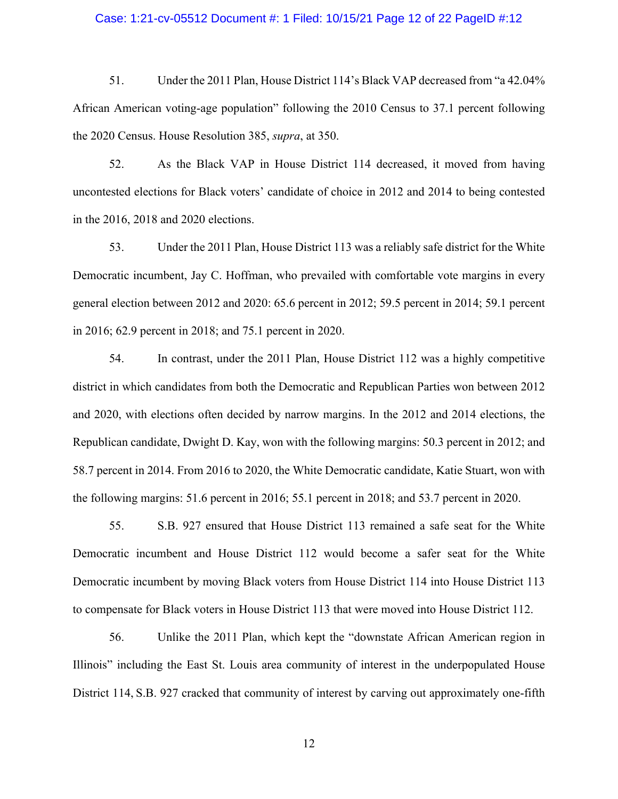## Case: 1:21-cv-05512 Document #: 1 Filed: 10/15/21 Page 12 of 22 PageID #:12

51. Under the 2011 Plan, House District 114's Black VAP decreased from "a 42.04% African American voting-age population" following the 2010 Census to 37.1 percent following the 2020 Census. House Resolution 385, *supra*, at 350.

52. As the Black VAP in House District 114 decreased, it moved from having uncontested elections for Black voters' candidate of choice in 2012 and 2014 to being contested in the 2016, 2018 and 2020 elections.

53. Under the 2011 Plan, House District 113 was a reliably safe district for the White Democratic incumbent, Jay C. Hoffman, who prevailed with comfortable vote margins in every general election between 2012 and 2020: 65.6 percent in 2012; 59.5 percent in 2014; 59.1 percent in 2016; 62.9 percent in 2018; and 75.1 percent in 2020.

54. In contrast, under the 2011 Plan, House District 112 was a highly competitive district in which candidates from both the Democratic and Republican Parties won between 2012 and 2020, with elections often decided by narrow margins. In the 2012 and 2014 elections, the Republican candidate, Dwight D. Kay, won with the following margins: 50.3 percent in 2012; and 58.7 percent in 2014. From 2016 to 2020, the White Democratic candidate, Katie Stuart, won with the following margins: 51.6 percent in 2016; 55.1 percent in 2018; and 53.7 percent in 2020.

55. S.B. 927 ensured that House District 113 remained a safe seat for the White Democratic incumbent and House District 112 would become a safer seat for the White Democratic incumbent by moving Black voters from House District 114 into House District 113 to compensate for Black voters in House District 113 that were moved into House District 112.

56. Unlike the 2011 Plan, which kept the "downstate African American region in Illinois" including the East St. Louis area community of interest in the underpopulated House District 114, S.B. 927 cracked that community of interest by carving out approximately one-fifth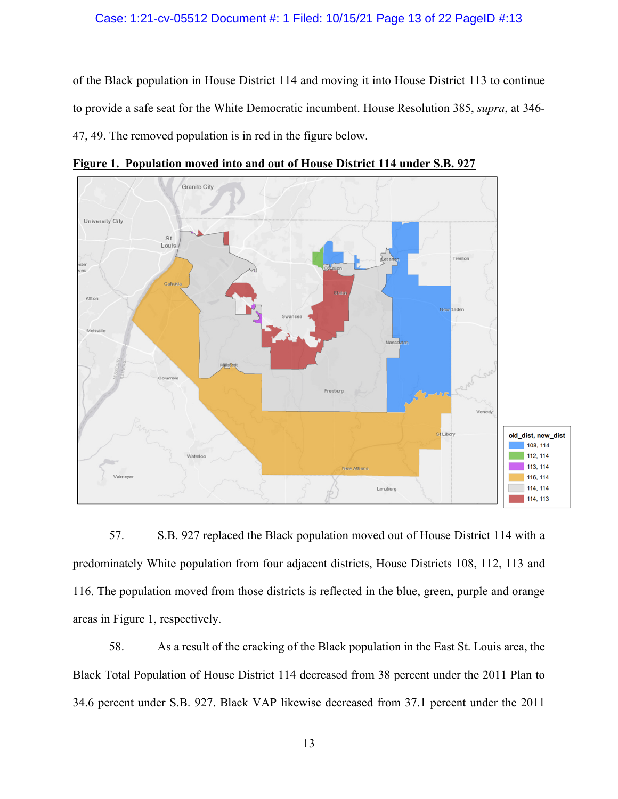### Case: 1:21-cv-05512 Document #: 1 Filed: 10/15/21 Page 13 of 22 PageID #:13

of the Black population in House District 114 and moving it into House District 113 to continue to provide a safe seat for the White Democratic incumbent. House Resolution 385, *supra*, at 346- 47, 49. The removed population is in red in the figure below.



**Figure 1. Population moved into and out of House District 114 under S.B. 927**

57. S.B. 927 replaced the Black population moved out of House District 114 with a predominately White population from four adjacent districts, House Districts 108, 112, 113 and 116. The population moved from those districts is reflected in the blue, green, purple and orange areas in Figure 1, respectively.

58. As a result of the cracking of the Black population in the East St. Louis area, the Black Total Population of House District 114 decreased from 38 percent under the 2011 Plan to 34.6 percent under S.B. 927. Black VAP likewise decreased from 37.1 percent under the 2011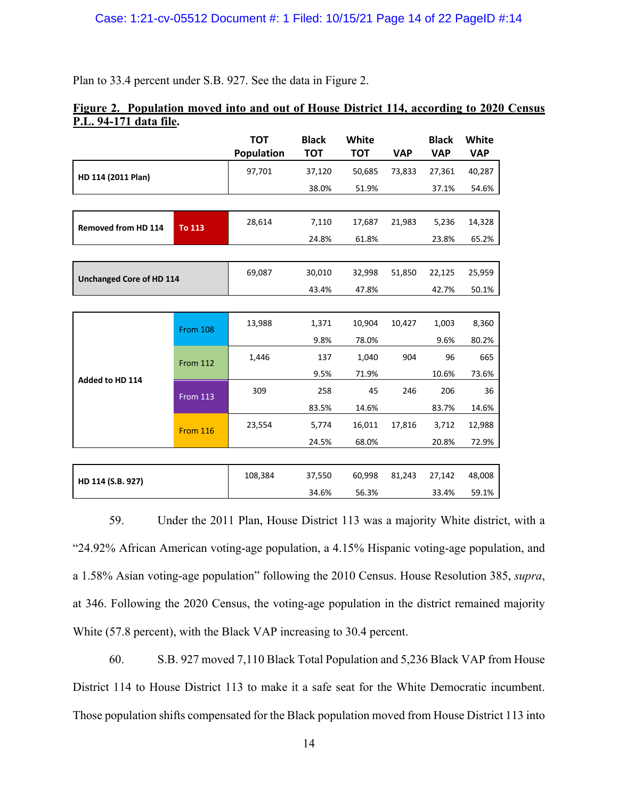Plan to 33.4 percent under S.B. 927. See the data in Figure 2.

# **Figure 2. Population moved into and out of House District 114, according to 2020 Census P.L. 94-171 data file.**

|                            |                 | <b>TOT</b><br><b>Population</b> | <b>Black</b><br><b>TOT</b> | White<br><b>TOT</b> | <b>VAP</b> | <b>Black</b><br><b>VAP</b> | White<br><b>VAP</b> |
|----------------------------|-----------------|---------------------------------|----------------------------|---------------------|------------|----------------------------|---------------------|
| HD 114 (2011 Plan)         |                 | 97,701                          | 37,120                     | 50,685              | 73,833     | 27,361                     | 40,287              |
|                            |                 |                                 | 38.0%                      | 51.9%               |            | 37.1%                      | 54.6%               |
|                            |                 |                                 |                            |                     |            |                            |                     |
| <b>Removed from HD 114</b> | To 113          | 28,614                          | 7,110                      | 17,687              | 21,983     | 5,236                      | 14,328              |
|                            |                 |                                 | 24.8%                      | 61.8%               |            | 23.8%                      | 65.2%               |
|                            |                 |                                 |                            |                     |            |                            |                     |
| Unchanged Core of HD 114   |                 | 69,087                          | 30,010                     | 32,998              | 51,850     | 22,125                     | 25,959              |
|                            |                 |                                 | 43.4%                      | 47.8%               |            | 42.7%                      | 50.1%               |
|                            |                 |                                 |                            |                     |            |                            |                     |
| Added to HD 114            | <b>From 108</b> | 13,988                          | 1,371                      | 10,904              | 10,427     | 1,003                      | 8,360               |
|                            |                 |                                 | 9.8%                       | 78.0%               |            | 9.6%                       | 80.2%               |
|                            | <b>From 112</b> | 1,446                           | 137                        | 1,040               | 904        | 96                         | 665                 |
|                            |                 |                                 | 9.5%                       | 71.9%               |            | 10.6%                      | 73.6%               |
|                            | <b>From 113</b> | 309                             | 258                        | 45                  | 246        | 206                        | 36                  |
|                            |                 |                                 | 83.5%                      | 14.6%               |            | 83.7%                      | 14.6%               |
|                            | <b>From 116</b> | 23,554                          | 5,774                      | 16,011              | 17,816     | 3,712                      | 12,988              |
|                            |                 |                                 | 24.5%                      | 68.0%               |            | 20.8%                      | 72.9%               |
|                            |                 |                                 |                            |                     |            |                            |                     |
| HD 114 (S.B. 927)          |                 | 108,384                         | 37,550                     | 60,998              | 81,243     | 27,142                     | 48,008              |
|                            |                 |                                 | 34.6%                      | 56.3%               |            | 33.4%                      | 59.1%               |

59. Under the 2011 Plan, House District 113 was a majority White district, with a "24.92% African American voting-age population, a 4.15% Hispanic voting-age population, and a 1.58% Asian voting-age population" following the 2010 Census. House Resolution 385, *supra*, at 346. Following the 2020 Census, the voting-age population in the district remained majority White (57.8 percent), with the Black VAP increasing to 30.4 percent.

60. S.B. 927 moved 7,110 Black Total Population and 5,236 Black VAP from House District 114 to House District 113 to make it a safe seat for the White Democratic incumbent. Those population shifts compensated for the Black population moved from House District 113 into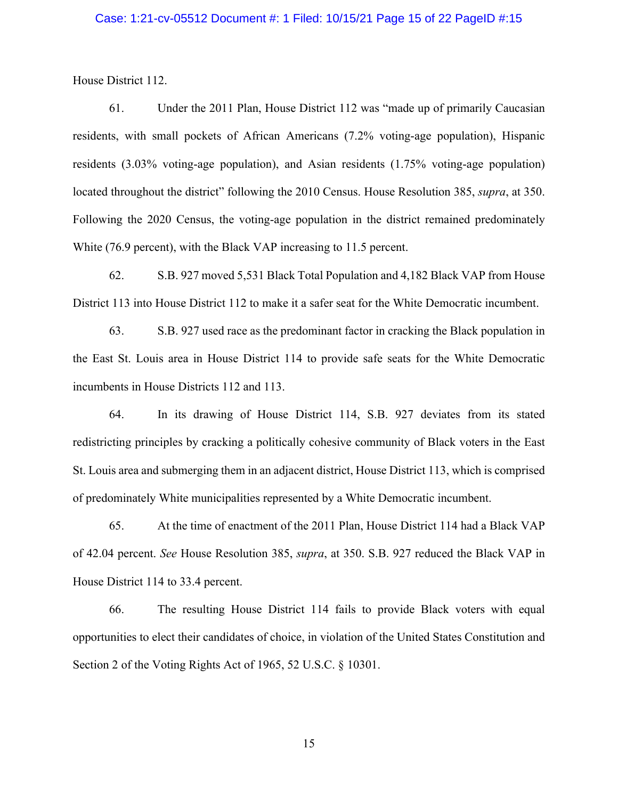### Case: 1:21-cv-05512 Document #: 1 Filed: 10/15/21 Page 15 of 22 PageID #:15

House District 112.

61. Under the 2011 Plan, House District 112 was "made up of primarily Caucasian residents, with small pockets of African Americans (7.2% voting-age population), Hispanic residents (3.03% voting-age population), and Asian residents (1.75% voting-age population) located throughout the district" following the 2010 Census. House Resolution 385, *supra*, at 350. Following the 2020 Census, the voting-age population in the district remained predominately White (76.9 percent), with the Black VAP increasing to 11.5 percent.

62. S.B. 927 moved 5,531 Black Total Population and 4,182 Black VAP from House District 113 into House District 112 to make it a safer seat for the White Democratic incumbent.

63. S.B. 927 used race as the predominant factor in cracking the Black population in the East St. Louis area in House District 114 to provide safe seats for the White Democratic incumbents in House Districts 112 and 113.

64. In its drawing of House District 114, S.B. 927 deviates from its stated redistricting principles by cracking a politically cohesive community of Black voters in the East St. Louis area and submerging them in an adjacent district, House District 113, which is comprised of predominately White municipalities represented by a White Democratic incumbent.

65. At the time of enactment of the 2011 Plan, House District 114 had a Black VAP of 42.04 percent. *See* House Resolution 385, *supra*, at 350. S.B. 927 reduced the Black VAP in House District 114 to 33.4 percent.

66. The resulting House District 114 fails to provide Black voters with equal opportunities to elect their candidates of choice, in violation of the United States Constitution and Section 2 of the Voting Rights Act of 1965, 52 U.S.C. § 10301.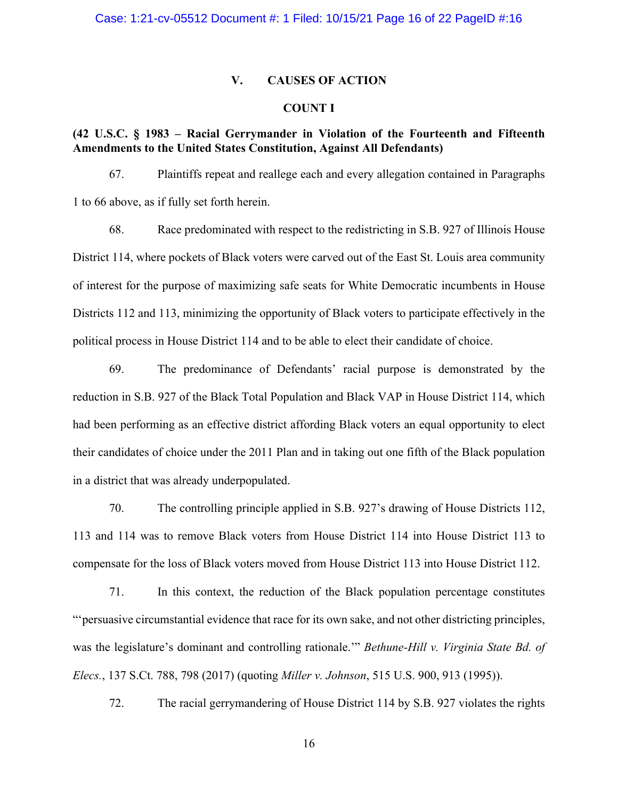### **V. CAUSES OF ACTION**

### **COUNT I**

# **(42 U.S.C. § 1983 – Racial Gerrymander in Violation of the Fourteenth and Fifteenth Amendments to the United States Constitution, Against All Defendants)**

67. Plaintiffs repeat and reallege each and every allegation contained in Paragraphs 1 to 66 above, as if fully set forth herein.

68. Race predominated with respect to the redistricting in S.B. 927 of Illinois House District 114, where pockets of Black voters were carved out of the East St. Louis area community of interest for the purpose of maximizing safe seats for White Democratic incumbents in House Districts 112 and 113, minimizing the opportunity of Black voters to participate effectively in the political process in House District 114 and to be able to elect their candidate of choice.

69. The predominance of Defendants' racial purpose is demonstrated by the reduction in S.B. 927 of the Black Total Population and Black VAP in House District 114, which had been performing as an effective district affording Black voters an equal opportunity to elect their candidates of choice under the 2011 Plan and in taking out one fifth of the Black population in a district that was already underpopulated.

70. The controlling principle applied in S.B. 927's drawing of House Districts 112, 113 and 114 was to remove Black voters from House District 114 into House District 113 to compensate for the loss of Black voters moved from House District 113 into House District 112.

71. In this context, the reduction of the Black population percentage constitutes "'persuasive circumstantial evidence that race for its own sake, and not other districting principles, was the legislature's dominant and controlling rationale.'" *Bethune-Hill v. Virginia State Bd. of Elecs.*, 137 S.Ct. 788, 798 (2017) (quoting *Miller v. Johnson*, 515 U.S. 900, 913 (1995)).

72. The racial gerrymandering of House District 114 by S.B. 927 violates the rights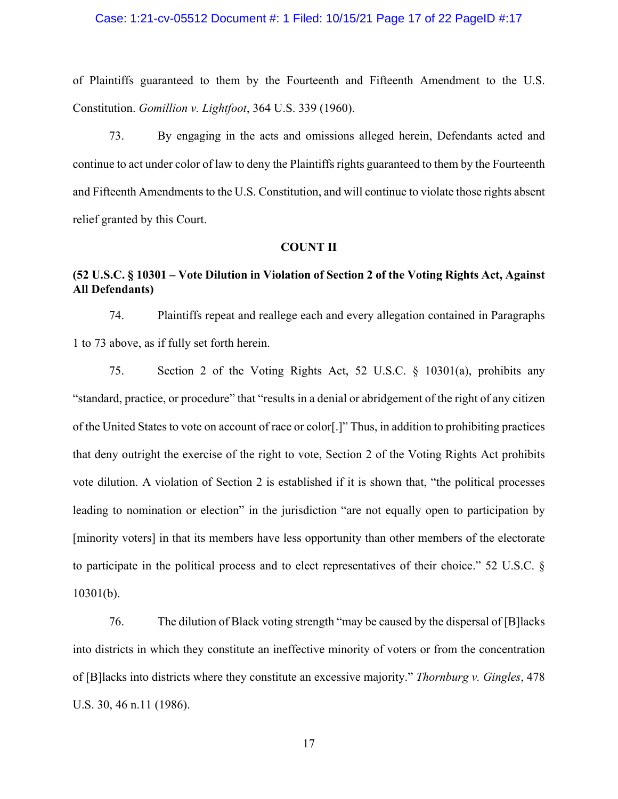### Case: 1:21-cv-05512 Document #: 1 Filed: 10/15/21 Page 17 of 22 PageID #:17

of Plaintiffs guaranteed to them by the Fourteenth and Fifteenth Amendment to the U.S. Constitution. *Gomillion v. Lightfoot*, 364 U.S. 339 (1960).

73. By engaging in the acts and omissions alleged herein, Defendants acted and continue to act under color of law to deny the Plaintiffs rights guaranteed to them by the Fourteenth and Fifteenth Amendments to the U.S. Constitution, and will continue to violate those rights absent relief granted by this Court.

### **COUNT II**

# **(52 U.S.C. § 10301 – Vote Dilution in Violation of Section 2 of the Voting Rights Act, Against All Defendants)**

74. Plaintiffs repeat and reallege each and every allegation contained in Paragraphs 1 to 73 above, as if fully set forth herein.

75. Section 2 of the Voting Rights Act, 52 U.S.C. § 10301(a), prohibits any "standard, practice, or procedure" that "results in a denial or abridgement of the right of any citizen of the United States to vote on account of race or color[.]" Thus, in addition to prohibiting practices that deny outright the exercise of the right to vote, Section 2 of the Voting Rights Act prohibits vote dilution. A violation of Section 2 is established if it is shown that, "the political processes leading to nomination or election" in the jurisdiction "are not equally open to participation by [minority voters] in that its members have less opportunity than other members of the electorate to participate in the political process and to elect representatives of their choice." 52 U.S.C. § 10301(b).

76. The dilution of Black voting strength "may be caused by the dispersal of [B]lacks into districts in which they constitute an ineffective minority of voters or from the concentration of [B]lacks into districts where they constitute an excessive majority." *Thornburg v. Gingles*, 478 U.S. 30, 46 n.11 (1986).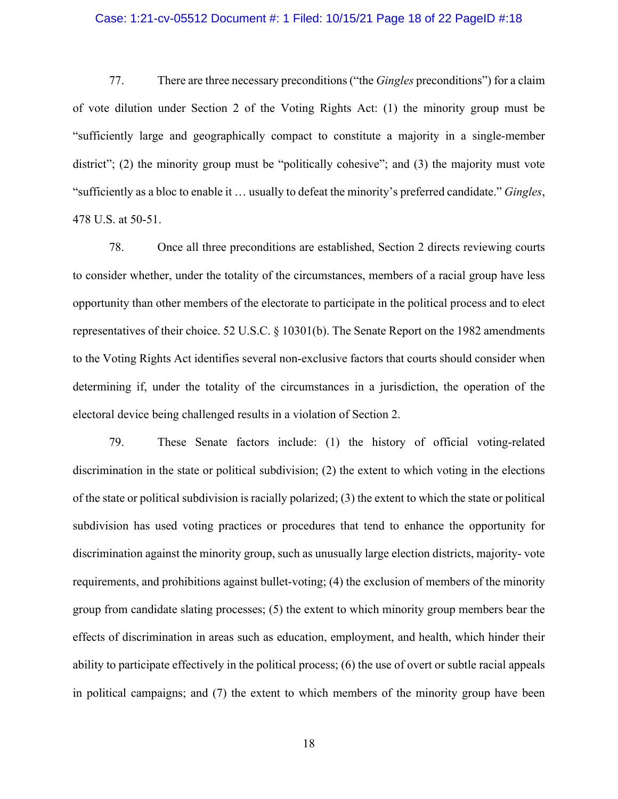### Case: 1:21-cv-05512 Document #: 1 Filed: 10/15/21 Page 18 of 22 PageID #:18

77. There are three necessary preconditions ("the *Gingles* preconditions") for a claim of vote dilution under Section 2 of the Voting Rights Act: (1) the minority group must be "sufficiently large and geographically compact to constitute a majority in a single-member district"; (2) the minority group must be "politically cohesive"; and (3) the majority must vote "sufficiently as a bloc to enable it … usually to defeat the minority's preferred candidate." *Gingles*, 478 U.S. at 50-51.

78. Once all three preconditions are established, Section 2 directs reviewing courts to consider whether, under the totality of the circumstances, members of a racial group have less opportunity than other members of the electorate to participate in the political process and to elect representatives of their choice. 52 U.S.C. § 10301(b). The Senate Report on the 1982 amendments to the Voting Rights Act identifies several non-exclusive factors that courts should consider when determining if, under the totality of the circumstances in a jurisdiction, the operation of the electoral device being challenged results in a violation of Section 2.

79. These Senate factors include: (1) the history of official voting-related discrimination in the state or political subdivision; (2) the extent to which voting in the elections of the state or political subdivision is racially polarized; (3) the extent to which the state or political subdivision has used voting practices or procedures that tend to enhance the opportunity for discrimination against the minority group, such as unusually large election districts, majority- vote requirements, and prohibitions against bullet-voting; (4) the exclusion of members of the minority group from candidate slating processes; (5) the extent to which minority group members bear the effects of discrimination in areas such as education, employment, and health, which hinder their ability to participate effectively in the political process; (6) the use of overt or subtle racial appeals in political campaigns; and (7) the extent to which members of the minority group have been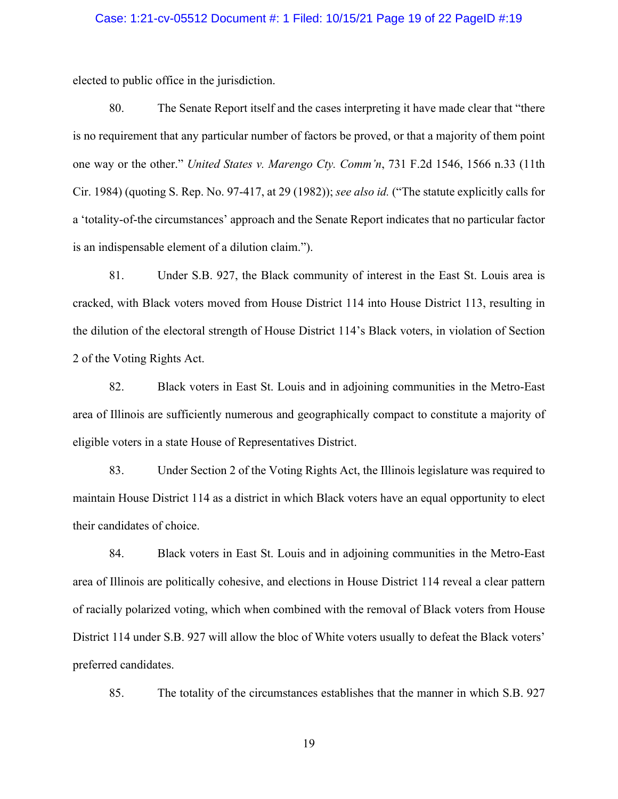# Case: 1:21-cv-05512 Document #: 1 Filed: 10/15/21 Page 19 of 22 PageID #:19

elected to public office in the jurisdiction.

80. The Senate Report itself and the cases interpreting it have made clear that "there is no requirement that any particular number of factors be proved, or that a majority of them point one way or the other." *United States v. Marengo Cty. Comm'n*, 731 F.2d 1546, 1566 n.33 (11th Cir. 1984) (quoting S. Rep. No. 97-417, at 29 (1982)); *see also id.* ("The statute explicitly calls for a 'totality-of-the circumstances' approach and the Senate Report indicates that no particular factor is an indispensable element of a dilution claim.").

81. Under S.B. 927, the Black community of interest in the East St. Louis area is cracked, with Black voters moved from House District 114 into House District 113, resulting in the dilution of the electoral strength of House District 114's Black voters, in violation of Section 2 of the Voting Rights Act.

82. Black voters in East St. Louis and in adjoining communities in the Metro-East area of Illinois are sufficiently numerous and geographically compact to constitute a majority of eligible voters in a state House of Representatives District.

83. Under Section 2 of the Voting Rights Act, the Illinois legislature was required to maintain House District 114 as a district in which Black voters have an equal opportunity to elect their candidates of choice.

84. Black voters in East St. Louis and in adjoining communities in the Metro-East area of Illinois are politically cohesive, and elections in House District 114 reveal a clear pattern of racially polarized voting, which when combined with the removal of Black voters from House District 114 under S.B. 927 will allow the bloc of White voters usually to defeat the Black voters' preferred candidates.

85. The totality of the circumstances establishes that the manner in which S.B. 927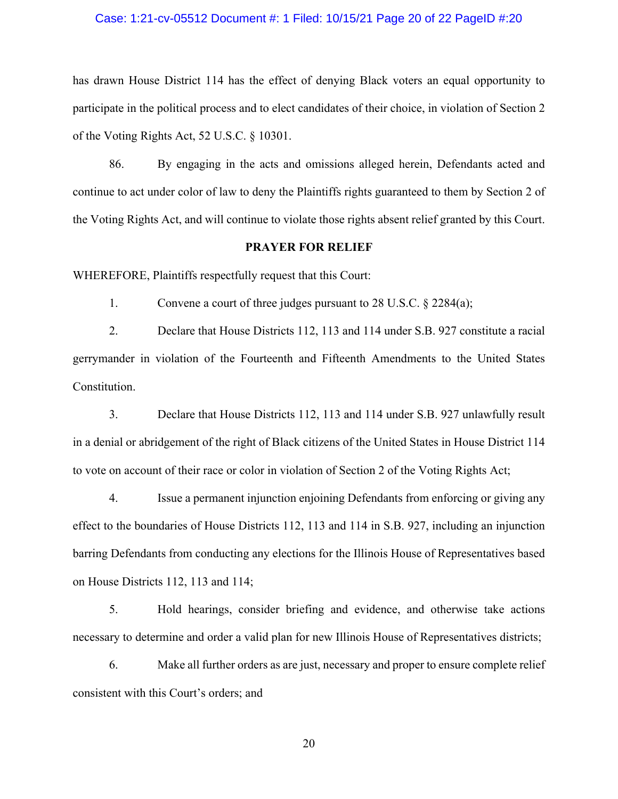## Case: 1:21-cv-05512 Document #: 1 Filed: 10/15/21 Page 20 of 22 PageID #:20

has drawn House District 114 has the effect of denying Black voters an equal opportunity to participate in the political process and to elect candidates of their choice, in violation of Section 2 of the Voting Rights Act, 52 U.S.C. § 10301.

86. By engaging in the acts and omissions alleged herein, Defendants acted and continue to act under color of law to deny the Plaintiffs rights guaranteed to them by Section 2 of the Voting Rights Act, and will continue to violate those rights absent relief granted by this Court.

#### **PRAYER FOR RELIEF**

WHEREFORE, Plaintiffs respectfully request that this Court:

1. Convene a court of three judges pursuant to 28 U.S.C. § 2284(a);

2. Declare that House Districts 112, 113 and 114 under S.B. 927 constitute a racial gerrymander in violation of the Fourteenth and Fifteenth Amendments to the United States Constitution.

3. Declare that House Districts 112, 113 and 114 under S.B. 927 unlawfully result in a denial or abridgement of the right of Black citizens of the United States in House District 114 to vote on account of their race or color in violation of Section 2 of the Voting Rights Act;

4. Issue a permanent injunction enjoining Defendants from enforcing or giving any effect to the boundaries of House Districts 112, 113 and 114 in S.B. 927, including an injunction barring Defendants from conducting any elections for the Illinois House of Representatives based on House Districts 112, 113 and 114;

5. Hold hearings, consider briefing and evidence, and otherwise take actions necessary to determine and order a valid plan for new Illinois House of Representatives districts;

6. Make all further orders as are just, necessary and proper to ensure complete relief consistent with this Court's orders; and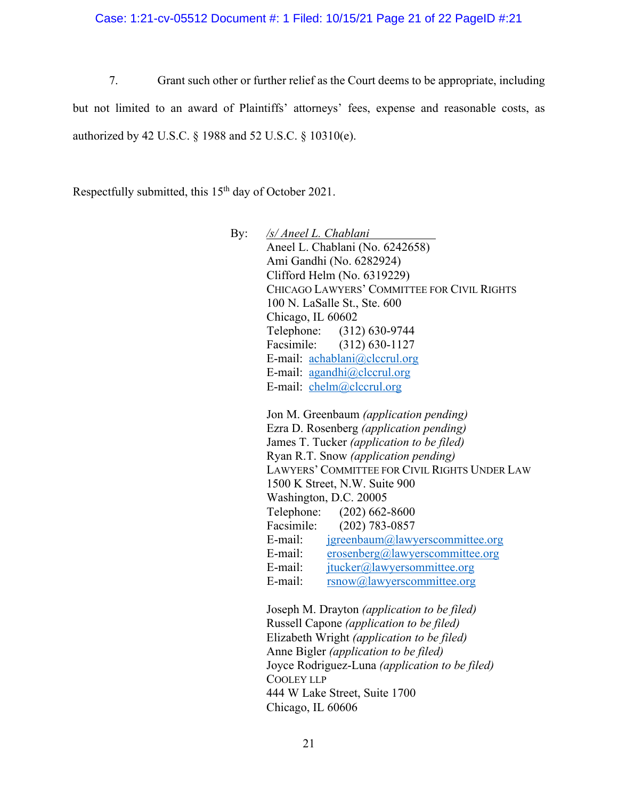Case: 1:21-cv-05512 Document #: 1 Filed: 10/15/21 Page 21 of 22 PageID #:21

7. Grant such other or further relief as the Court deems to be appropriate, including but not limited to an award of Plaintiffs' attorneys' fees, expense and reasonable costs, as authorized by 42 U.S.C. § 1988 and 52 U.S.C. § 10310(e).

Respectfully submitted, this 15<sup>th</sup> day of October 2021.

By: */s/ Aneel L. Chablani* Aneel L. Chablani (No. 6242658) Ami Gandhi (No. 6282924) Clifford Helm (No. 6319229) CHICAGO LAWYERS' COMMITTEE FOR CIVIL RIGHTS 100 N. LaSalle St., Ste. 600 Chicago, IL 60602 Telephone: (312) 630-9744 Facsimile: (312) 630-1127 E-mail: achablani@clccrul.org E-mail: agandhi@clccrul.org E-mail: chelm@clccrul.org

> Jon M. Greenbaum *(application pending)* Ezra D. Rosenberg *(application pending)* James T. Tucker *(application to be filed)* Ryan R.T. Snow *(application pending)* LAWYERS' COMMITTEE FOR CIVIL RIGHTS UNDER LAW 1500 K Street, N.W. Suite 900 Washington, D.C. 20005 Telephone: (202) 662-8600 Facsimile: (202) 783-0857 E-mail: jgreenbaum@lawyerscommittee.org E-mail: erosenberg@lawyerscommittee.org E-mail: jtucker@lawyersommittee.org E-mail: rsnow@lawyerscommittee.org

Joseph M. Drayton *(application to be filed)* Russell Capone *(application to be filed)* Elizabeth Wright *(application to be filed)* Anne Bigler *(application to be filed)* Joyce Rodriguez-Luna *(application to be filed)* COOLEY LLP 444 W Lake Street, Suite 1700 Chicago, IL 60606